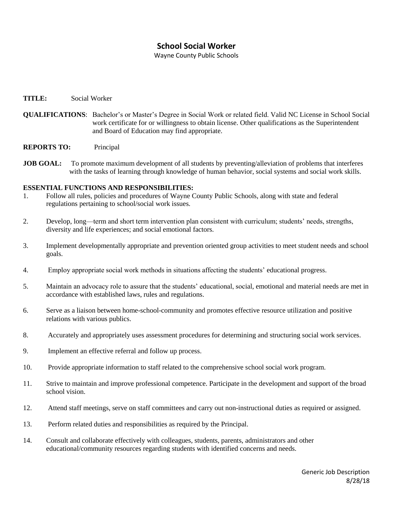## **School Social Worker**

Wayne County Public Schools

## **TITLE:** Social Worker

- **QUALIFICATIONS**: Bachelor's or Master's Degree in Social Work or related field. Valid NC License in School Social work certificate for or willingness to obtain license. Other qualifications as the Superintendent and Board of Education may find appropriate.
- **REPORTS TO:** Principal
- **JOB GOAL:** To promote maximum development of all students by preventing/alleviation of problems that interferes with the tasks of learning through knowledge of human behavior, social systems and social work skills.

## **ESSENTIAL FUNCTIONS AND RESPONSIBILITIES:**

- 1. Follow all rules, policies and procedures of Wayne County Public Schools, along with state and federal regulations pertaining to school/social work issues.
- 2. Develop, long—term and short term intervention plan consistent with curriculum; students' needs, strengths, diversity and life experiences; and social emotional factors.
- 3. Implement developmentally appropriate and prevention oriented group activities to meet student needs and school goals.
- 4. Employ appropriate social work methods in situations affecting the students' educational progress.
- 5. Maintain an advocacy role to assure that the students' educational, social, emotional and material needs are met in accordance with established laws, rules and regulations.
- 6. Serve as a liaison between home-school-community and promotes effective resource utilization and positive relations with various publics.
- 8. Accurately and appropriately uses assessment procedures for determining and structuring social work services.
- 9. Implement an effective referral and follow up process.
- 10. Provide appropriate information to staff related to the comprehensive school social work program.
- 11. Strive to maintain and improve professional competence. Participate in the development and support of the broad school vision.
- 12. Attend staff meetings, serve on staff committees and carry out non-instructional duties as required or assigned.
- 13. Perform related duties and responsibilities as required by the Principal.
- 14. Consult and collaborate effectively with colleagues, students, parents, administrators and other educational/community resources regarding students with identified concerns and needs.